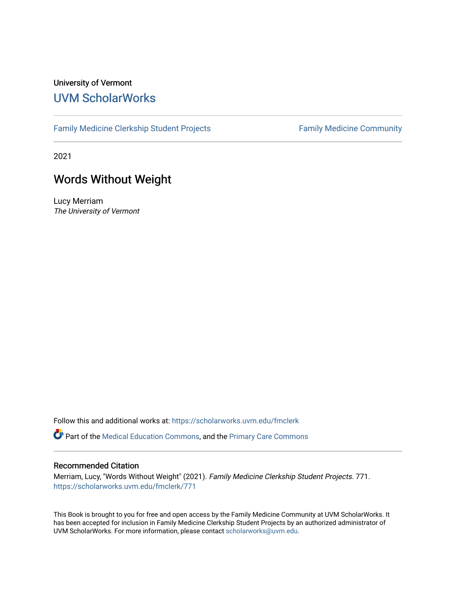#### University of Vermont [UVM ScholarWorks](https://scholarworks.uvm.edu/)

[Family Medicine Clerkship Student Projects](https://scholarworks.uvm.edu/fmclerk) Family Medicine Community

2021

#### Words Without Weight

Lucy Merriam The University of Vermont

Follow this and additional works at: [https://scholarworks.uvm.edu/fmclerk](https://scholarworks.uvm.edu/fmclerk?utm_source=scholarworks.uvm.edu%2Ffmclerk%2F771&utm_medium=PDF&utm_campaign=PDFCoverPages) 

Part of the [Medical Education Commons,](https://network.bepress.com/hgg/discipline/1125?utm_source=scholarworks.uvm.edu%2Ffmclerk%2F771&utm_medium=PDF&utm_campaign=PDFCoverPages) and the [Primary Care Commons](https://network.bepress.com/hgg/discipline/1092?utm_source=scholarworks.uvm.edu%2Ffmclerk%2F771&utm_medium=PDF&utm_campaign=PDFCoverPages) 

#### Recommended Citation

Merriam, Lucy, "Words Without Weight" (2021). Family Medicine Clerkship Student Projects. 771. [https://scholarworks.uvm.edu/fmclerk/771](https://scholarworks.uvm.edu/fmclerk/771?utm_source=scholarworks.uvm.edu%2Ffmclerk%2F771&utm_medium=PDF&utm_campaign=PDFCoverPages) 

This Book is brought to you for free and open access by the Family Medicine Community at UVM ScholarWorks. It has been accepted for inclusion in Family Medicine Clerkship Student Projects by an authorized administrator of UVM ScholarWorks. For more information, please contact [scholarworks@uvm.edu.](mailto:scholarworks@uvm.edu)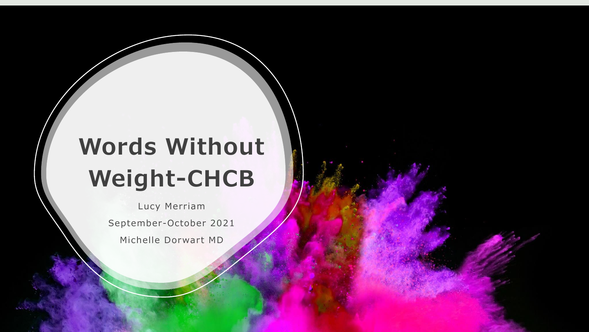# **Words Without Weight-CHCB**

Lucy Merriam September-October 2021 Michelle Dorwart MD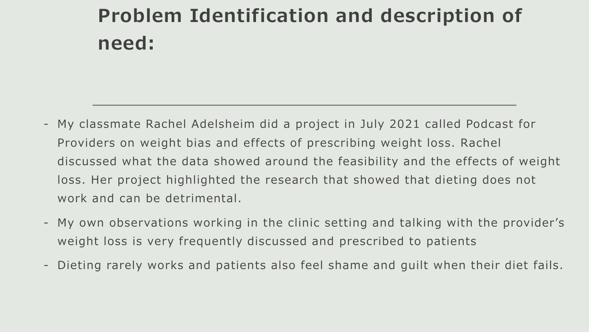## **Problem Identification and description of need:**

- My classmate Rachel Adelsheim did a project in July 2021 called Podcast for Providers on weight bias and effects of prescribing weight loss. Rachel discussed what the data showed around the feasibility and the effects of weight loss. Her project highlighted the research that showed that dieting does not work and can be detrimental.
- My own observations working in the clinic setting and talking with the provider's weight loss is very frequently discussed and prescribed to patients
- Dieting rarely works and patients also feel shame and guilt when their diet fails .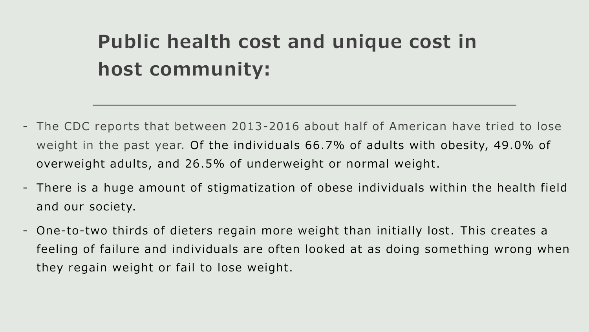## **Public health cost and unique cost in host community:**

- The CDC reports that between 2013-2016 about half of American have tried to lose weight in the past year. Of the individuals 66.7% of adults with obesity, 49.0% of overweight adults, and 26.5% of underweight or normal weight.
- There is a huge amount of stigmatization of obese individuals within the health field and our society.
- One-to-two thirds of dieters regain more weight than initially lost. This creates a feeling of failure and individuals are often looked at as doing something wrong when they regain weight or fail to lose weight.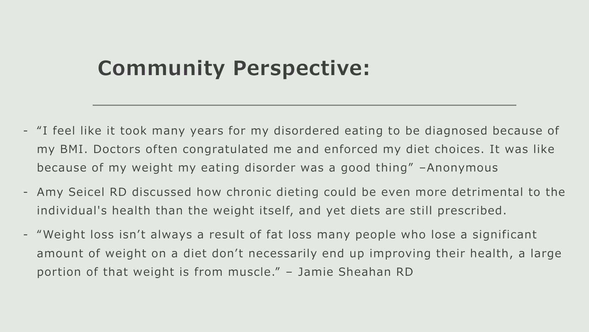### **Community Perspective:**

- "I feel like it took many years for my disordered eating to be diagnosed because of my BMI. Doctors often congratulated me and enforced my diet choices. It was like because of my weight my eating disorder was a good thing" -Anonymous
- Amy Seicel RD discussed how chronic dieting could be even more detrimental to the individual's health than the weight itself, and yet diets are still prescribed.
- "Weight loss isn't always a result of fat loss many people who lose a significant amount of weight on a diet don't necessarily end up improving their health, a large portion of that weight is from muscle." - Jamie Sheahan RD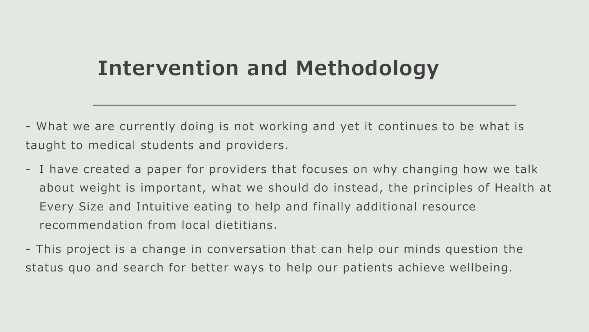### **Intervention and Methodology**

- What we are currently doing is not working and yet it continues to be what is taught to medical students and providers .

- I have created a paper for providers that focuses on why changing how we talk about weight is important, what we should do instead, the principles of Health at Every Size and Intuitive eating to help and finally additional resource recommendation from local dietitians .
- This project is a change in conversation that can help our minds question the status quo and search for better ways to help our patients achieve wellbeing.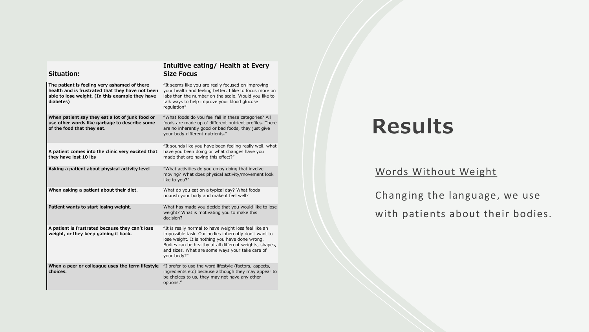| Situation:                                                                                                                                                       | Intuitive eathly/ Health at Every<br><b>Size Focus</b>                                                                                                                                                                                                                                        |
|------------------------------------------------------------------------------------------------------------------------------------------------------------------|-----------------------------------------------------------------------------------------------------------------------------------------------------------------------------------------------------------------------------------------------------------------------------------------------|
| The patient is feeling very ashamed of there<br>health and is frustrated that they have not been<br>able to lose weight. (In this example they have<br>diabetes) | "It seems like you are really focused on improving<br>your health and feeling better. I like to focus more on<br>labs than the number on the scale. Would you like to<br>talk ways to help improve your blood glucose<br>regulation"                                                          |
| When patient say they eat a lot of junk food or<br>use other words like garbage to describe some<br>of the food that they eat.                                   | "What foods do you feel fall in these categories? All<br>foods are made up of different nutrient profiles. There<br>are no inherently good or bad foods, they just give<br>your body different nutrients."                                                                                    |
| A patient comes into the clinic very excited that<br>they have lost 10 lbs                                                                                       | "It sounds like you have been feeling really well, what<br>have you been doing or what changes have you<br>made that are having this effect?"                                                                                                                                                 |
| Asking a patient about physical activity level                                                                                                                   | "What activities do you enjoy doing that involve<br>moving? What does physical activity/movement look<br>like to you?"                                                                                                                                                                        |
| When asking a patient about their diet.                                                                                                                          | What do you eat on a typical day? What foods<br>nourish your body and make it feel well?                                                                                                                                                                                                      |
| Patient wants to start losing weight.                                                                                                                            | What has made you decide that you would like to lose<br>weight? What is motivating you to make this<br>decision?                                                                                                                                                                              |
| A patient is frustrated because they can't lose<br>weight, or they keep gaining it back.                                                                         | "It is really normal to have weight loss feel like an<br>impossible task. Our bodies inherently don't want to<br>lose weight. It is nothing you have done wrong.<br>Bodies can be healthy at all different weights, shapes,<br>and sizes. What are some ways your take care of<br>your body?" |
| When a peer or colleague uses the term lifestyle<br>choices.                                                                                                     | "I prefer to use the word lifestyle (factors, aspects,<br>ingredients etc) because although they may appear to<br>be choices to us, they may not have any other<br>options."                                                                                                                  |

**Intuitive eating/ Health at Every** 

#### **Results**

#### Words Without Weight

Changing the language, we use with patients about their bodies.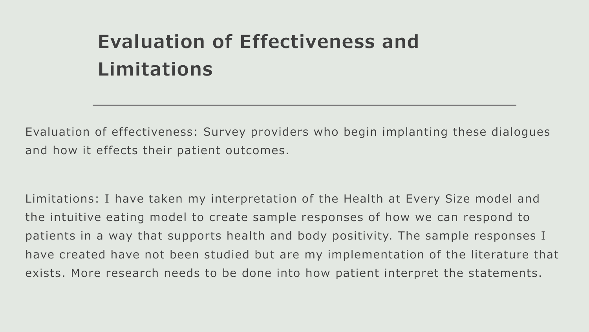## **Evaluation of Effectiveness and Limitations**

Evaluation of effectiveness: Survey providers who begin implanting these dialogues and how it effects their patient outcomes.

Limitations: I have taken my interpretation of the Health at Every Size model and the intuitive eating model to create sample responses of how we can respond to patients in a way that supports health and body positivity. The sample responses I have created have not been studied but are my implementation of the literature that exists. More research needs to be done into how patient interpret the statements.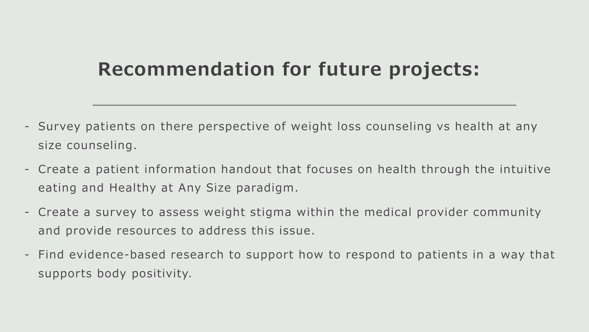#### **Recommendation for future projects:**

- Survey patients on there perspective of weight loss counseling vs health at any size counseling.
- Create a patient in formation handout that focuses on health through the intuitive eating and Healthy at Any Size paradigm.
- Create a survey to assess weight stigma within the medical provider community and provide resources to address this issue .
- Find evidence-based research to support how to respond to patients in a way that supports body positivity.